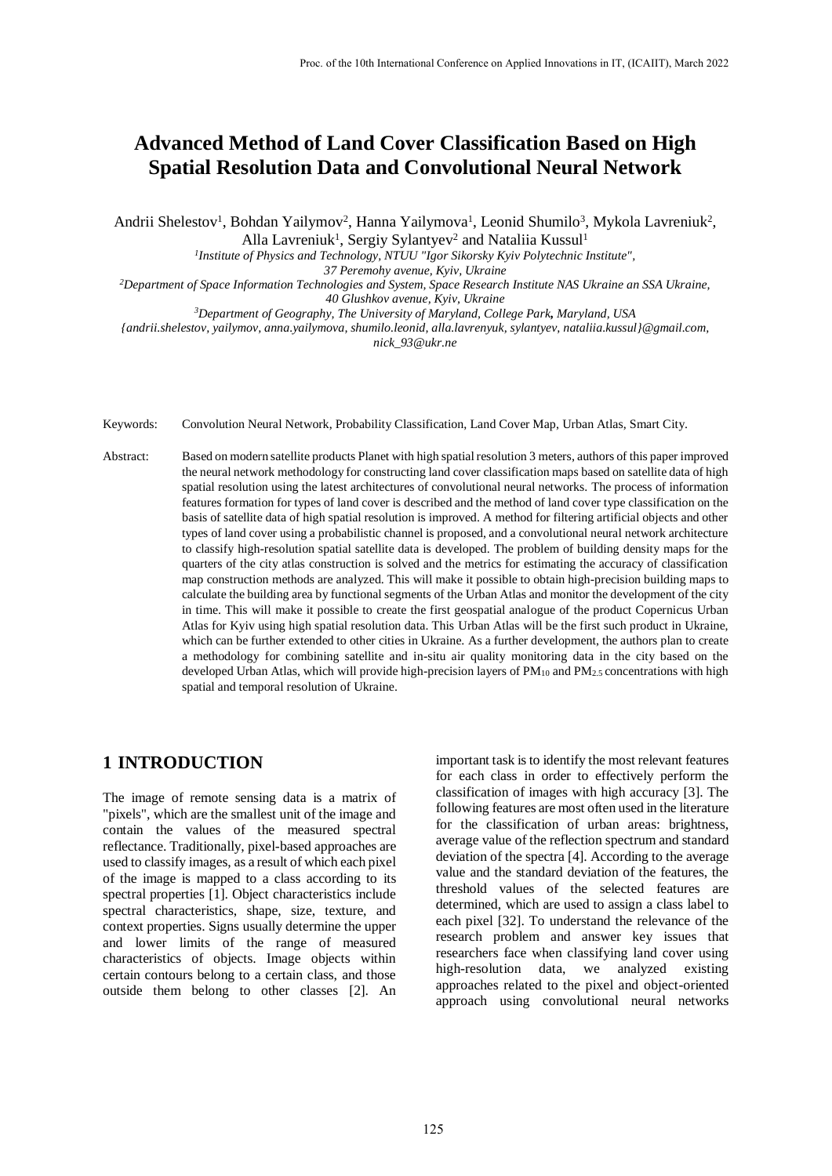# **Advanced Method of Land Cover Classification Based on High Spatial Resolution Data and Convolutional Neural Network**

Andrii Shelestov<sup>1</sup>, Bohdan Yailymov<sup>2</sup>, Hanna Yailymova<sup>1</sup>, Leonid Shumilo<sup>3</sup>, Mykola Lavreniuk<sup>2</sup>, Alla Lavreniuk<sup>1</sup>, Sergiy Sylantyev<sup>2</sup> and Nataliia Kussul<sup>1</sup>

*1 Institute of Physics and Technology, NTUU "Igor Sikorsky Kyiv Polytechnic Institute",* 

*37 Peremohy avenue, Kyiv, Ukraine*

*<sup>2</sup>Department of Space Information Technologies and System, Space Research Institute NAS Ukraine an SSA Ukraine,*

*40 Glushkov avenue, Kyiv, Ukraine*

*<sup>3</sup>Department of Geography, The University of Maryland, College Park, Maryland, USA*

*{andrii.shelestov, yailymov, anna.yailymova, shumilo.leonid, alla.lavrenyuk, sylantyev, nataliia.kussul}@gmail.com, nick\_93@ukr.ne*

Keywords: Convolution Neural Network, Probability Classification, Land Cover Map, Urban Atlas, Smart City.

Abstract: Based on modern satellite products Planet with high spatial resolution 3 meters, authors of this paper improved the neural network methodology for constructing land cover classification maps based on satellite data of high spatial resolution using the latest architectures of convolutional neural networks. The process of information features formation for types of land cover is described and the method of land cover type classification on the basis of satellite data of high spatial resolution is improved. A method for filtering artificial objects and other types of land cover using a probabilistic channel is proposed, and a convolutional neural network architecture to classify high-resolution spatial satellite data is developed. The problem of building density maps for the quarters of the city atlas construction is solved and the metrics for estimating the accuracy of classification map construction methods are analyzed. This will make it possible to obtain high-precision building maps to calculate the building area by functional segments of the Urban Atlas and monitor the development of the city in time. This will make it possible to create the first geospatial analogue of the product Copernicus Urban Atlas for Kyiv using high spatial resolution data. This Urban Atlas will be the first such product in Ukraine, which can be further extended to other cities in Ukraine. As a further development, the authors plan to create a methodology for combining satellite and in-situ air quality monitoring data in the city based on the developed Urban Atlas, which will provide high-precision layers of  $PM_{10}$  and  $PM_{2.5}$  concentrations with high spatial and temporal resolution of Ukraine.

### **1 INTRODUCTION**

The image of remote sensing data is a matrix of "pixels", which are the smallest unit of the image and contain the values of the measured spectral reflectance. Traditionally, pixel-based approaches are used to classify images, as a result of which each pixel of the image is mapped to a class according to its spectral properties [\[1\].](#page--1-0) Object characteristics include spectral characteristics, shape, size, texture, and context properties. Signs usually determine the upper and lower limits of the range of measured characteristics of objects. Image objects within certain contours belong to a certain class, and those outside them belong to other classes [\[2\].](#page--1-1) An important task is to identify the most relevant features for each class in order to effectively perform the classification of images with high accuracy [\[3\].](#page--1-2) The following features are most often used in the literature for the classification of urban areas: brightness, average value of the reflection spectrum and standard deviation of the spectr[a \[4\].](#page--1-3) According to the average value and the standard deviation of the features, the threshold values of the selected features are determined, which are used to assign a class label to each pixel [\[32\].](#page--1-4) To understand the relevance of the research problem and answer key issues that researchers face when classifying land cover using high-resolution data, we analyzed existing approaches related to the pixel and object-oriented approach using convolutional neural networks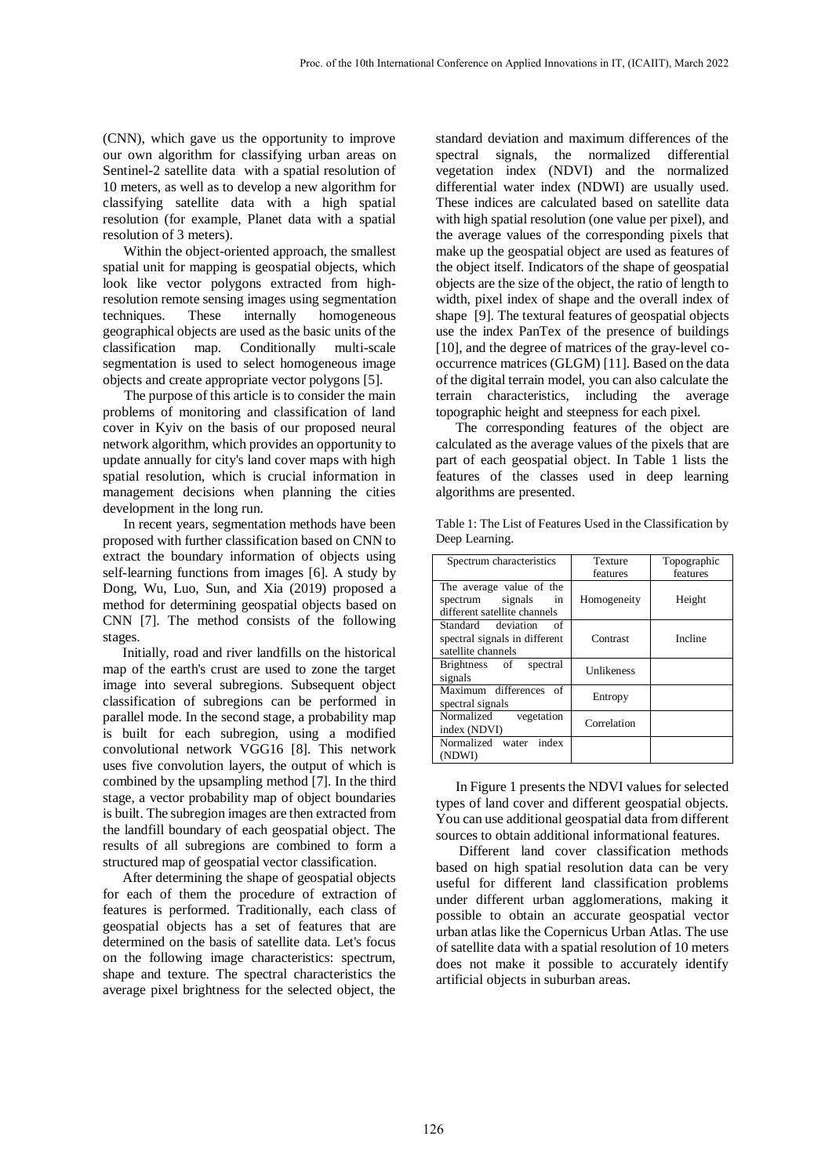(CNN), which gave us the opportunity to improve our own algorithm for classifying urban areas on Sentinel-2 satellite data with a spatial resolution of 10 meters, as well as to develop a new algorithm for classifying satellite data with a high spatial resolution (for example, Planet data with a spatial resolution of 3 meters).

 Within the object-oriented approach, the smallest spatial unit for mapping is geospatial objects, which look like vector polygons extracted from highresolution remote sensing images using segmentation<br>techniques. These internally homogeneous techniques. These internally homogeneous geographical objects are used as the basic units of the classification map. Conditionally multi-scale segmentation is used to select homogeneous image objects and create appropriate vector polygons [\[5\].](#page--1-5)

The purpose of this article is to consider the main problems of monitoring and classification of land cover in Kyiv on the basis of our proposed neural network algorithm, which provides an opportunity to update annually for city's land cover maps with high spatial resolution, which is crucial information in management decisions when planning the cities development in the long run.

 In recent years, segmentation methods have been proposed with further classification based on CNN to extract the boundary information of objects using self-learning functions from images [\[6\].](#page--1-6) A study by Dong, Wu, Luo, Sun, and Xia (2019) proposed a method for determining geospatial objects based on CNN [\[7\].](#page--1-7) The method consists of the following stages.

Initially, road and river landfills on the historical map of the earth's crust are used to zone the target image into several subregions. Subsequent object classification of subregions can be performed in parallel mode. In the second stage, a probability map is built for each subregion, using a modified convolutional network VGG16 [\[8\].](#page--1-8) This network uses five convolution layers, the output of which is combined by the upsampling method [\[7\].](#page--1-7) In the third stage, a vector probability map of object boundaries is built. The subregion images are then extracted from the landfill boundary of each geospatial object. The results of all subregions are combined to form a structured map of geospatial vector classification.

After determining the shape of geospatial objects for each of them the procedure of extraction of features is performed. Traditionally, each class of geospatial objects has a set of features that are determined on the basis of satellite data. Let's focus on the following image characteristics: spectrum, shape and texture. The spectral characteristics the average pixel brightness for the selected object, the

standard deviation and maximum differences of the spectral signals, the normalized differential vegetation index (NDVI) and the normalized differential water index (NDWI) are usually used. These indices are calculated based on satellite data with high spatial resolution (one value per pixel), and the average values of the corresponding pixels that make up the geospatial object are used as features of the object itself. Indicators of the shape of geospatial objects are the size of the object, the ratio of length to width, pixel index of shape and the overall index of shape [\[9\].](#page--1-9) The textural features of geospatial objects use the index PanTex of the presence of buildings [\[10\],](#page--1-10) and the degree of matrices of the gray-level cooccurrence matrices (GLGM[\) \[11\].](#page--1-11) Based on the data of the digital terrain model, you can also calculate the terrain characteristics, including the average topographic height and steepness for each pixel.

The corresponding features of the object are calculated as the average values of the pixels that are part of each geospatial object. In Table 1 lists the features of the classes used in deep learning algorithms are presented.

|                | Table 1: The List of Features Used in the Classification by |
|----------------|-------------------------------------------------------------|
| Deep Learning. |                                                             |

| Spectrum characteristics                                                           | Texture<br>features | Topographic<br>features |
|------------------------------------------------------------------------------------|---------------------|-------------------------|
| The average value of the<br>spectrum signals<br>in<br>different satellite channels | Homogeneity         | Height                  |
| Standard deviation<br>of<br>spectral signals in different<br>satellite channels    | Contrast            | Incline                 |
| Brightness of<br>spectral<br>signals                                               | Unlikeness          |                         |
| Maximum differences of<br>spectral signals                                         | Entropy             |                         |
| Normalized<br>vegetation<br>index (NDVI)                                           | Correlation         |                         |
| Normalized water<br>index<br>(NDWI)                                                |                     |                         |

I[n Figure 1](#page--1-12) presents the NDVI values for selected types of land cover and different geospatial objects. You can use additional geospatial data from different sources to obtain additional informational features.

Different land cover classification methods based on high spatial resolution data can be very useful for different land classification problems under different urban agglomerations, making it possible to obtain an accurate geospatial vector urban atlas like the Copernicus Urban Atlas. The use of satellite data with a spatial resolution of 10 meters does not make it possible to accurately identify artificial objects in suburban areas.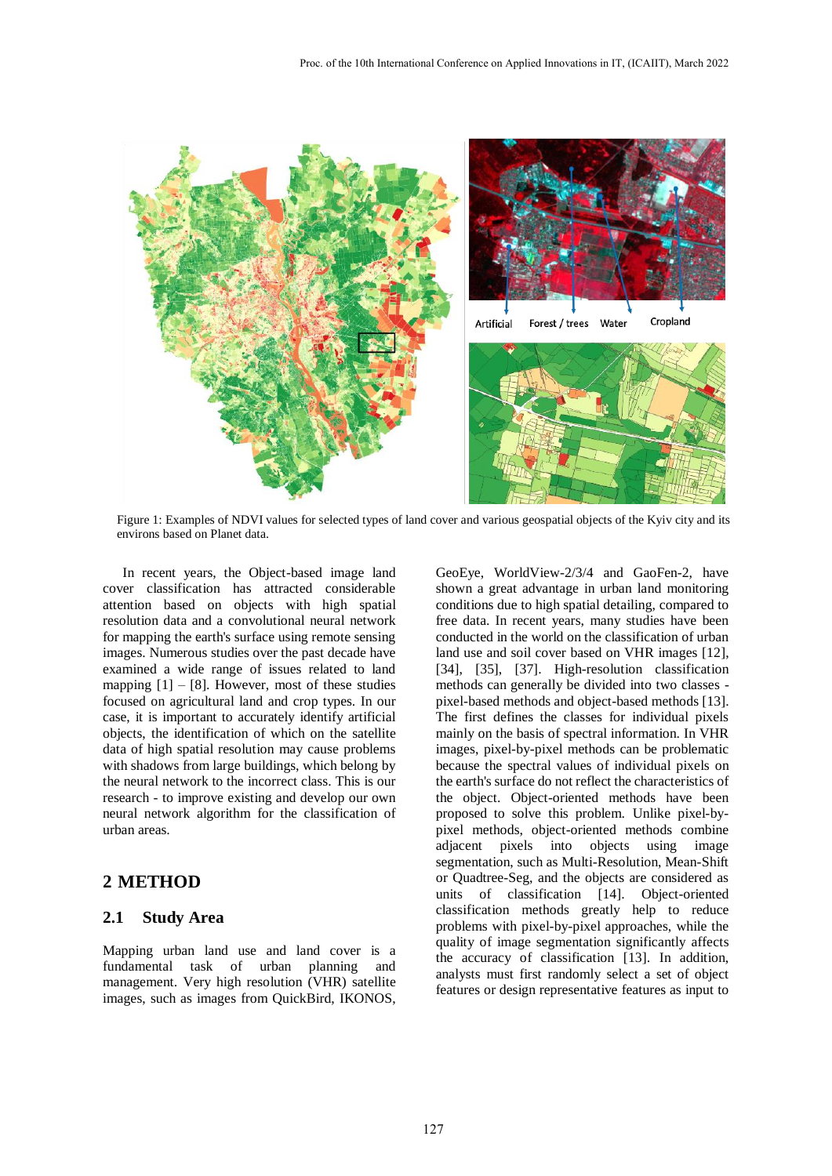

Figure 1: Examples of NDVI values for selected types of land cover and various geospatial objects of the Kyiv city and its environs based on Planet data.

In recent years, the Object-based image land cover classification has attracted considerable attention based on objects with high spatial resolution data and a convolutional neural network for mapping the earth's surface using remote sensing images. Numerous studies over the past decade have examined a wide range of issues related to land mapping  $[1] - [8]$ . However, most of these studies focused on agricultural land and crop types. In our case, it is important to accurately identify artificial objects, the identification of which on the satellite data of high spatial resolution may cause problems with shadows from large buildings, which belong by the neural network to the incorrect class. This is our research - to improve existing and develop our own neural network algorithm for the classification of urban areas.

## **2 METHOD**

#### **2.1 Study Area**

Mapping urban land use and land cover is a fundamental task of urban planning and management. Very high resolution (VHR) satellite images, such as images from QuickBird, IKONOS,

GeoEye, WorldView-2/3/4 and GaoFen-2, have shown a great advantage in urban land monitoring conditions due to high spatial detailing, compared to free data. In recent years, many studies have been conducted in the world on the classification of urban land use and soil cover based on VHR images [\[12\],](#page-6-2) [\[34\],](#page-7-0) [\[35\],](#page-7-1) [\[37\].](#page-7-2) High-resolution classification methods can generally be divided into two classes pixel-based methods and object-based method[s \[13\].](#page-6-3) The first defines the classes for individual pixels mainly on the basis of spectral information. In VHR images, pixel-by-pixel methods can be problematic because the spectral values of individual pixels on the earth's surface do not reflect the characteristics of the object. Object-oriented methods have been proposed to solve this problem. Unlike pixel-bypixel methods, object-oriented methods combine adjacent pixels into objects using image segmentation, such as Multi-Resolution, Mean-Shift or Quadtree-Seg, and the objects are considered as units of classification [\[14\].](#page-6-4) Object-oriented classification methods greatly help to reduce problems with pixel-by-pixel approaches, while the quality of image segmentation significantly affects the accuracy of classification [\[13\].](#page-6-3) In addition, analysts must first randomly select a set of object features or design representative features as input to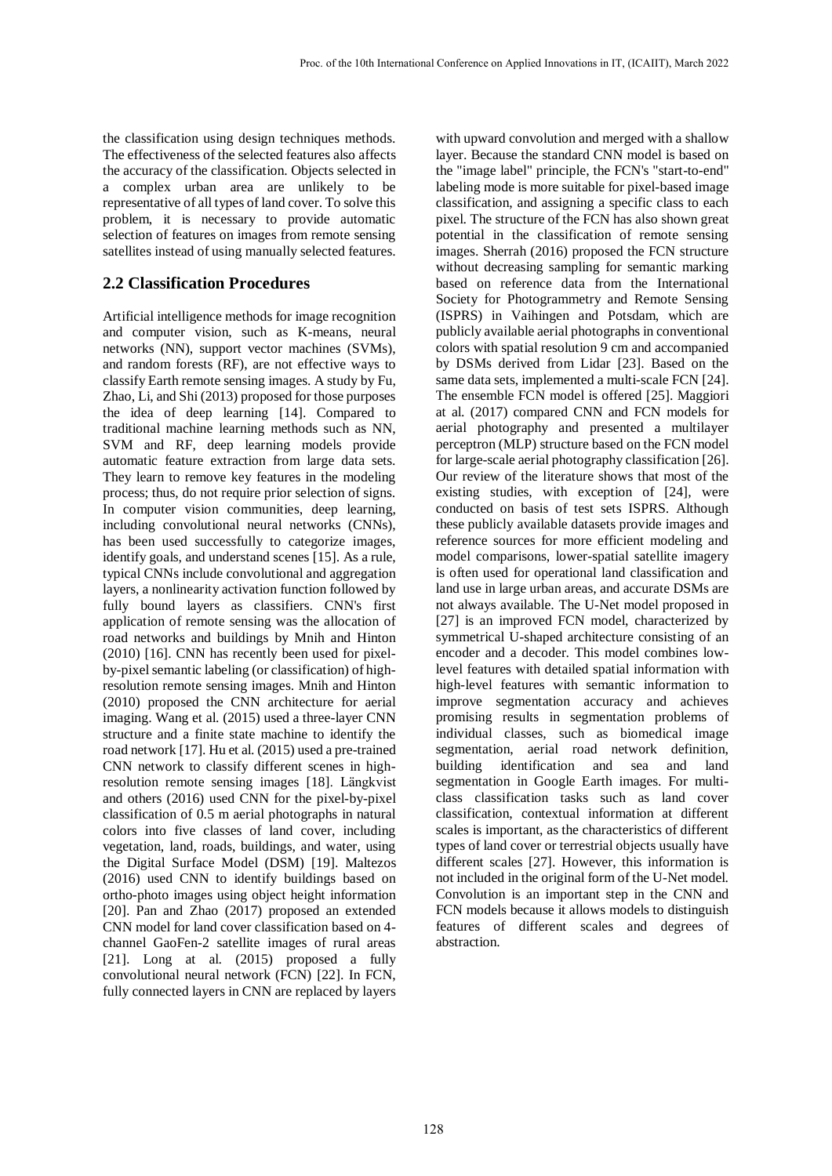the classification using design techniques methods. The effectiveness of the selected features also affects the accuracy of the classification. Objects selected in a complex urban area are unlikely to be representative of all types of land cover. To solve this problem, it is necessary to provide automatic selection of features on images from remote sensing satellites instead of using manually selected features.

# **2.2 Classification Procedures**

Artificial intelligence methods for image recognition and computer vision, such as K-means, neural networks (NN), support vector machines (SVMs), and random forests (RF), are not effective ways to classify Earth remote sensing images. A study by Fu, Zhao, Li, and Shi (2013) proposed for those purposes the idea of deep learning [\[14\].](#page-6-4) Compared to traditional machine learning methods such as NN, SVM and RF, deep learning models provide automatic feature extraction from large data sets. They learn to remove key features in the modeling process; thus, do not require prior selection of signs. In computer vision communities, deep learning, including convolutional neural networks (CNNs), has been used successfully to categorize images, identify goals, and understand scenes [\[15\].](#page-6-5) As a rule, typical CNNs include convolutional and aggregation layers, a nonlinearity activation function followed by fully bound layers as classifiers. CNN's first application of remote sensing was the allocation of road networks and buildings by Mnih and Hinton (2010) [\[16\].](#page-6-6) CNN has recently been used for pixelby-pixel semantic labeling (or classification) of highresolution remote sensing images. Mnih and Hinton (2010) proposed the CNN architecture for aerial imaging. Wang et al. (2015) used a three-layer CNN structure and a finite state machine to identify the road networ[k \[17\].](#page-6-7) Hu et al. (2015) used a pre-trained CNN network to classify different scenes in highresolution remote sensing images [\[18\].](#page-6-8) Längkvist and others (2016) used CNN for the pixel-by-pixel classification of 0.5 m aerial photographs in natural colors into five classes of land cover, including vegetation, land, roads, buildings, and water, using the Digital Surface Model (DSM) [\[19\].](#page-6-9) Maltezos (2016) used CNN to identify buildings based on ortho-photo images using object height information [\[20\].](#page-6-10) Pan and Zhao (2017) proposed an extended CNN model for land cover classification based on 4 channel GaoFen-2 satellite images of rural areas [\[21\].](#page-6-11) Long at al. (2015) proposed a fully convolutional neural network (FCN) [\[22\].](#page-6-12) In FCN, fully connected layers in CNN are replaced by layers

with upward convolution and merged with a shallow layer. Because the standard CNN model is based on the "image label" principle, the FCN's "start-to-end" labeling mode is more suitable for pixel-based image classification, and assigning a specific class to each pixel. The structure of the FCN has also shown great potential in the classification of remote sensing images. Sherrah (2016) proposed the FCN structure without decreasing sampling for semantic marking based on reference data from the International Society for Photogrammetry and Remote Sensing (ISPRS) in Vaihingen and Potsdam, which are publicly available aerial photographs in conventional colors with spatial resolution 9 cm and accompanied by DSMs derived from Lidar [\[23\].](#page-6-13) Based on the same data sets, implemented a multi-scale FC[N \[24\].](#page-6-14) The ensemble FCN model is offered [\[25\].](#page-6-15) Maggiori at al. (2017) compared CNN and FCN models for aerial photography and presented a multilayer perceptron (MLP) structure based on the FCN model for large-scale aerial photography classificatio[n \[26\].](#page-7-3) Our review of the literature shows that most of the existing studies, with exception of [\[24\],](#page-6-14) were conducted on basis of test sets ISPRS. Although these publicly available datasets provide images and reference sources for more efficient modeling and model comparisons, lower-spatial satellite imagery is often used for operational land classification and land use in large urban areas, and accurate DSMs are not always available. The U-Net model proposed in [\[27\]](#page-7-4) is an improved FCN model, characterized by symmetrical U-shaped architecture consisting of an encoder and a decoder. This model combines lowlevel features with detailed spatial information with high-level features with semantic information to improve segmentation accuracy and achieves promising results in segmentation problems of individual classes, such as biomedical image segmentation, aerial road network definition, building identification and sea and land segmentation in Google Earth images. For multiclass classification tasks such as land cover classification, contextual information at different scales is important, as the characteristics of different types of land cover or terrestrial objects usually have different scales [\[27\].](#page-7-4) However, this information is not included in the original form of the U-Net model. Convolution is an important step in the CNN and FCN models because it allows models to distinguish features of different scales and degrees of abstraction.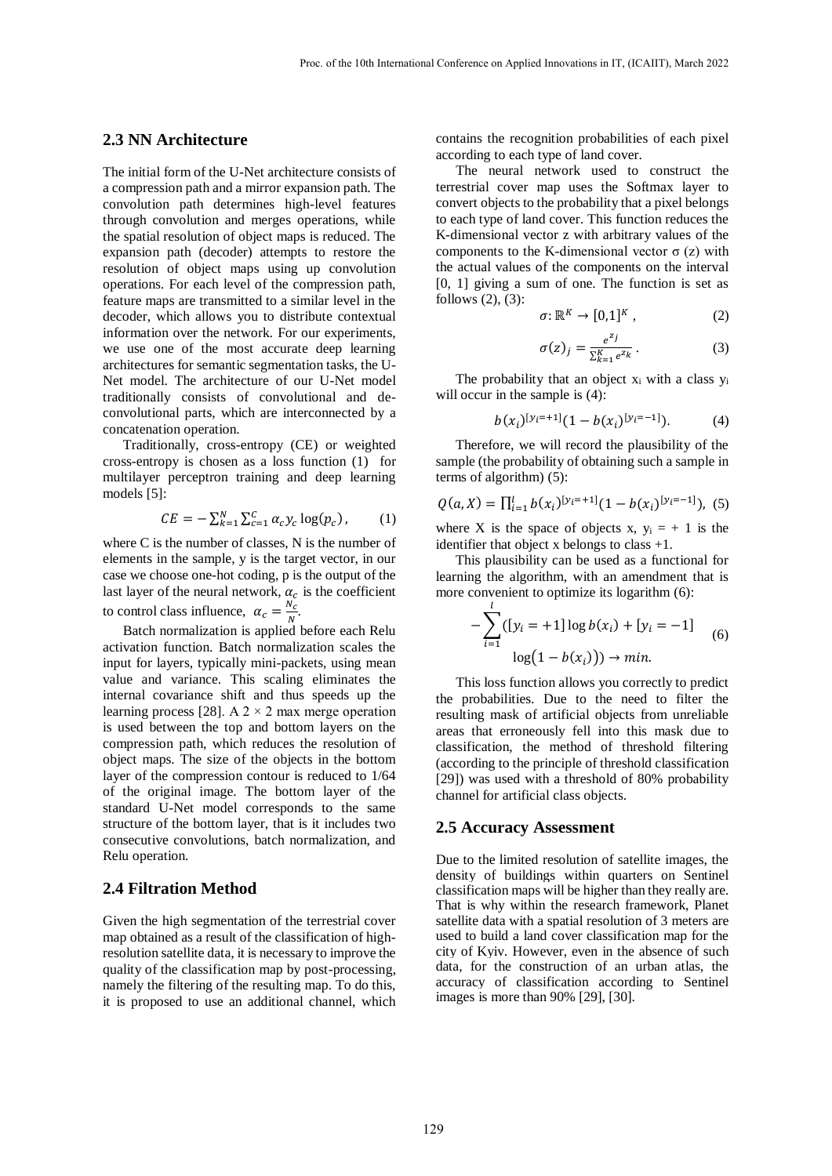### **2.3 NN Architecture**

The initial form of the U-Net architecture consists of a compression path and a mirror expansion path. The convolution path determines high-level features through convolution and merges operations, while the spatial resolution of object maps is reduced. The expansion path (decoder) attempts to restore the resolution of object maps using up convolution operations. For each level of the compression path, feature maps are transmitted to a similar level in the decoder, which allows you to distribute contextual information over the network. For our experiments, we use one of the most accurate deep learning architectures for semantic segmentation tasks, the U-Net model. The architecture of our U-Net model traditionally consists of convolutional and deconvolutional parts, which are interconnected by a concatenation operation.

Traditionally, cross-entropy (CE) or weighted cross-entropy is chosen as a loss function (1) for multilayer perceptron training and deep learning models [\[5\]:](#page-6-16)

$$
CE = -\sum_{k=1}^{N} \sum_{c=1}^{C} \alpha_c y_c \log(p_c), \qquad (1)
$$

where C is the number of classes, N is the number of elements in the sample, y is the target vector, in our case we choose one-hot coding, p is the output of the last layer of the neural network,  $\alpha_c$  is the coefficient to control class influence,  $\alpha_c = \frac{N_c}{N_c}$  $\frac{N_c}{N}$ .

Batch normalization is applied before each Relu activation function. Batch normalization scales the input for layers, typically mini-packets, using mean value and variance. This scaling eliminates the internal covariance shift and thus speeds up the learning process [\[28\].](#page-7-5) A  $2 \times 2$  max merge operation is used between the top and bottom layers on the compression path, which reduces the resolution of object maps. The size of the objects in the bottom layer of the compression contour is reduced to 1/64 of the original image. The bottom layer of the standard U-Net model corresponds to the same structure of the bottom layer, that is it includes two consecutive convolutions, batch normalization, and Relu operation.

#### **2.4 Filtration Method**

Given the high segmentation of the terrestrial cover map obtained as a result of the classification of highresolution satellite data, it is necessary to improve the quality of the classification map by post-processing, namely the filtering of the resulting map. To do this, it is proposed to use an additional channel, which contains the recognition probabilities of each pixel according to each type of land cover.

The neural network used to construct the terrestrial cover map uses the Softmax layer to convert objects to the probability that a pixel belongs to each type of land cover. This function reduces the K-dimensional vector z with arbitrary values of the components to the K-dimensional vector  $\sigma$  (z) with the actual values of the components on the interval [0, 1] giving a sum of one. The function is set as follows (2), (3):

$$
\sigma \colon \mathbb{R}^K \to [0,1]^K \,, \tag{2}
$$

$$
\sigma(z)_j = \frac{e^{z_j}}{\sum_{k=1}^K e^{z_k}}.
$$
\n(3)

The probability that an object  $x_i$  with a class  $y_i$ will occur in the sample is  $(4)$ :

$$
b(x_i)^{[y_i=+1]}(1-b(x_i)^{[y_i=-1]}).
$$
 (4)

Therefore, we will record the plausibility of the sample (the probability of obtaining such a sample in terms of algorithm) (5):

$$
Q(a, X) = \prod_{i=1}^{l} b(x_i)^{[y_i = +1]} (1 - b(x_i)^{[y_i = -1]}),
$$
 (5)

where X is the space of objects x,  $y_i = +1$  is the identifier that object x belongs to class +1.

This plausibility can be used as a functional for learning the algorithm, with an amendment that is more convenient to optimize its logarithm (6):

$$
-\sum_{i=1}^{l} ([y_i = +1] \log b(x_i) + [y_i = -1]
$$
  
log(1 - b(x<sub>i</sub>)))  $\rightarrow$  min. (6)

This loss function allows you correctly to predict the probabilities. Due to the need to filter the resulting mask of artificial objects from unreliable areas that erroneously fell into this mask due to classification, the method of threshold filtering (according to the principle of threshold classification [\[29\]\)](#page-7-6) was used with a threshold of 80% probability channel for artificial class objects.

#### **2.5 Accuracy Assessment**

Due to the limited resolution of satellite images, the density of buildings within quarters on Sentinel classification maps will be higher than they really are. That is why within the research framework, Planet satellite data with a spatial resolution of 3 meters are used to build a land cover classification map for the city of Kyiv. However, even in the absence of such data, for the construction of an urban atlas, the accuracy of classification according to Sentinel images is more than 90% [\[29\],](#page-7-6) [\[30\].](#page-7-7)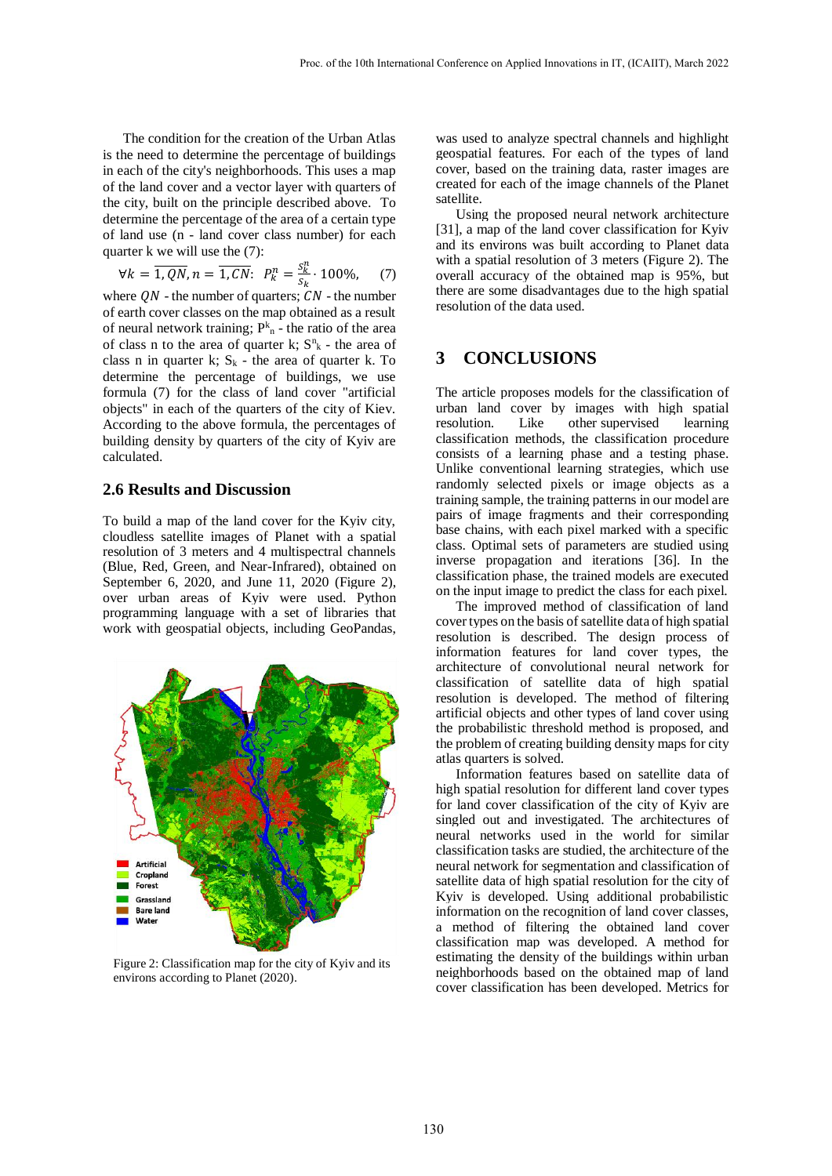The condition for the creation of the Urban Atlas is the need to determine the percentage of buildings in each of the city's neighborhoods. This uses a map of the land cover and a vector layer with quarters of the city, built on the principle described above. To determine the percentage of the area of a certain type of land use (n - land cover class number) for each quarter k we will use the (7):

$$
\forall k = \overline{1, QN}, n = \overline{1, CN}: \ P_k^n = \frac{s_k^n}{s_k} \cdot 100\%, \quad (7)
$$

where  $QN$  - the number of quarters;  $CN$  - the number of earth cover classes on the map obtained as a result of neural network training;  $P_{n}^{k}$  - the ratio of the area of class n to the area of quarter  $k$ ;  $S<sup>n</sup><sub>k</sub>$  - the area of class n in quarter k;  $S_k$  - the area of quarter k. To determine the percentage of buildings, we use formula (7) for the class of land cover "artificial objects" in each of the quarters of the city of Kiev. According to the above formula, the percentages of building density by quarters of the city of Kyiv are calculated.

#### **2.6 Results and Discussion**

To build a map of the land cover for the Kyiv city, cloudless satellite images of Planet with a spatial resolution of 3 meters and 4 multispectral channels (Blue, Red, Green, and Near-Infrared), obtained on September 6, 2020, and June 11, 2020 (Figure 2), over urban areas of Kyiv were used. Python programming language with a set of libraries that work with geospatial objects, including GeoPandas,



Figure 2: Classification map for the city of Kyiv and its environs according to Planet (2020).

was used to analyze spectral channels and highlight geospatial features. For each of the types of land cover, based on the training data, raster images are created for each of the image channels of the Planet satellite.

Using the proposed neural network architecture [\[31\],](#page-7-8) a map of the land cover classification for Kyiv and its environs was built according to Planet data with a spatial resolution of 3 meters (Figure 2). The overall accuracy of the obtained map is 95%, but there are some disadvantages due to the high spatial resolution of the data used.

### **3 CONCLUSIONS**

The article proposes models for the classification of urban land cover by images with high spatial resolution. Like other supervised learning classification methods, the classification procedure consists of a learning phase and a testing phase. Unlike conventional learning strategies, which use randomly selected pixels or image objects as a training sample, the training patterns in our model are pairs of image fragments and their corresponding base chains, with each pixel marked with a specific class. Optimal sets of parameters are studied using inverse propagation and iterations [\[36\].](#page-7-9) In the classification phase, the trained models are executed on the input image to predict the class for each pixel.

The improved method of classification of land cover types on the basis of satellite data of high spatial resolution is described. The design process of information features for land cover types, the architecture of convolutional neural network for classification of satellite data of high spatial resolution is developed. The method of filtering artificial objects and other types of land cover using the probabilistic threshold method is proposed, and the problem of creating building density maps for city atlas quarters is solved.

Information features based on satellite data of high spatial resolution for different land cover types for land cover classification of the city of Kyiv are singled out and investigated. The architectures of neural networks used in the world for similar classification tasks are studied, the architecture of the neural network for segmentation and classification of satellite data of high spatial resolution for the city of Kyiv is developed. Using additional probabilistic information on the recognition of land cover classes, a method of filtering the obtained land cover classification map was developed. A method for estimating the density of the buildings within urban neighborhoods based on the obtained map of land cover classification has been developed. Metrics for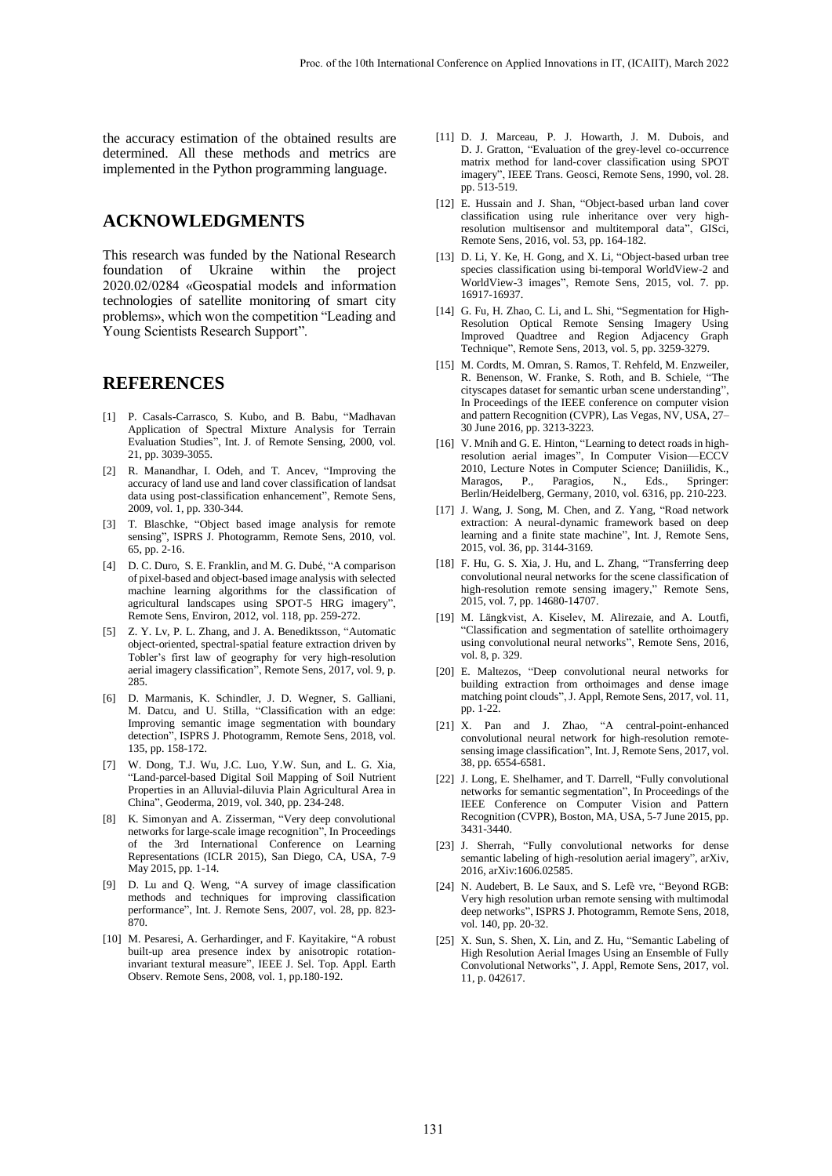the accuracy estimation of the obtained results are determined. All these methods and metrics are implemented in the Python programming language.

# **ACKNOWLEDGMENTS**

This research was funded by the National Research foundation of Ukraine within the project 2020.02/0284 «Geospatial models and information technologies of satellite monitoring of smart city problems», which won the competition "Leading and Young Scientists Research Support".

### **REFERENCES**

- <span id="page-6-0"></span>[1] P. Casals-Carrasco, S. Kubo, and B. Babu, "Madhavan Application of Spectral Mixture Analysis for Terrain Evaluation Studies", Int. J. of Remote Sensing, 2000, vol. 21, pp. 3039-3055.
- [2] R. Manandhar, I. Odeh, and T. Ancev, "Improving the accuracy of land use and land cover classification of landsat data using post-classification enhancement", Remote Sens, 2009, vol. 1, pp. 330-344.
- [3] T. Blaschke, "Object based image analysis for remote sensing", ISPRS J. Photogramm, Remote Sens, 2010, vol. 65, pp. 2-16.
- [4] D. C. Duro, S. E. Franklin, and M. G. Dubé, "A comparison of pixel-based and object-based image analysis with selected machine learning algorithms for the classification of agricultural landscapes using SPOT-5 HRG imagery", Remote Sens, Environ, 2012, vol. 118, pp. 259-272.
- <span id="page-6-16"></span>[5] Z. Y. Lv, P. L. Zhang, and J. A. Benediktsson, "Automatic object-oriented, spectral-spatial feature extraction driven by Tobler's first law of geography for very high-resolution aerial imagery classification", Remote Sens, 2017, vol. 9, p. 285.
- [6] D. Marmanis, K. Schindler, J. D. Wegner, S. Galliani, M. Datcu, and U. Stilla, "Classification with an edge: Improving semantic image segmentation with boundary detection", ISPRS J. Photogramm, Remote Sens, 2018, vol. 135, pp. 158-172.
- [7] W. Dong, T.J. Wu, J.C. Luo, Y.W. Sun, and L. G. Xia, "Land-parcel-based Digital Soil Mapping of Soil Nutrient Properties in an Alluvial-diluvia Plain Agricultural Area in China", Geoderma, 2019, vol. 340, pp. 234-248.
- <span id="page-6-1"></span>[8] K. Simonyan and A. Zisserman, "Very deep convolutional networks for large-scale image recognition", In Proceedings of the 3rd International Conference on Learning Representations (ICLR 2015), San Diego, CA, USA, 7-9 May 2015, pp. 1-14.
- [9] D. Lu and Q. Weng, "A survey of image classification methods and techniques for improving classification performance", Int. J. Remote Sens, 2007, vol. 28, pp. 823- 870.
- [10] M. Pesaresi, A. Gerhardinger, and F. Kayitakire, "A robust built-up area presence index by anisotropic rotationinvariant textural measure", IEEE J. Sel. Top. Appl. Earth Observ. Remote Sens, 2008, vol. 1, pp.180-192.
- [11] D. J. Marceau, P. J. Howarth, J. M. Dubois, and D. J. Gratton, "Evaluation of the grey-level co-occurrence matrix method for land-cover classification using SPOT imagery", IEEE Trans. Geosci, Remote Sens, 1990, vol. 28. pp. 513-519.
- <span id="page-6-2"></span>[12] E. Hussain and J. Shan, "Object-based urban land cover classification using rule inheritance over very highresolution multisensor and multitemporal data", GISci, Remote Sens, 2016, vol. 53, pp. 164-182.
- <span id="page-6-3"></span>[13] D. Li, Y. Ke, H. Gong, and X. Li, "Object-based urban tree species classification using bi-temporal WorldView-2 and WorldView-3 images", Remote Sens, 2015, vol. 7. pp. 16917-16937.
- <span id="page-6-4"></span>[14] G. Fu, H. Zhao, C. Li, and L. Shi, "Segmentation for High-Resolution Optical Remote Sensing Imagery Using Improved Quadtree and Region Adjacency Graph Technique", Remote Sens, 2013, vol. 5, pp. 3259-3279.
- <span id="page-6-5"></span>[15] M. Cordts, M. Omran, S. Ramos, T. Rehfeld, M. Enzweiler, R. Benenson, W. Franke, S. Roth, and B. Schiele, "The cityscapes dataset for semantic urban scene understanding", In Proceedings of the IEEE conference on computer vision and pattern Recognition (CVPR), Las Vegas, NV, USA, 27– 30 June 2016, pp. 3213-3223.
- <span id="page-6-6"></span>[16] V. Mnih and G. E. Hinton, "Learning to detect roads in highresolution aerial images", In Computer Vision—ECCV 2010, Lecture Notes in Computer Science; Daniilidis, K., Maragos, P., Paragios, N., Eds., Springer: Berlin/Heidelberg, Germany, 2010, vol. 6316, pp. 210-223.
- <span id="page-6-7"></span>[17] J. Wang, J. Song, M. Chen, and Z. Yang, "Road network extraction: A neural-dynamic framework based on deep learning and a finite state machine", Int. J, Remote Sens, 2015, vol. 36, pp. 3144-3169.
- <span id="page-6-8"></span>[18] F. Hu, G. S. Xia, J. Hu, and L. Zhang, "Transferring deep convolutional neural networks for the scene classification of high-resolution remote sensing imagery," Remote Sens, 2015, vol. 7, pp. 14680-14707.
- <span id="page-6-9"></span>[19] M. Längkvist, A. Kiselev, M. Alirezaie, and A. Loutfi, "Classification and segmentation of satellite orthoimagery using convolutional neural networks", Remote Sens, 2016, vol. 8, p. 329.
- <span id="page-6-10"></span>[20] E. Maltezos, "Deep convolutional neural networks for building extraction from orthoimages and dense image matching point clouds", J. Appl, Remote Sens, 2017, vol. 11, pp. 1-22.
- <span id="page-6-11"></span>[21] X. Pan and J. Zhao, "A central-point-enhanced convolutional neural network for high-resolution remotesensing image classification", Int. J, Remote Sens, 2017, vol. 38, pp. 6554-6581.
- <span id="page-6-12"></span>[22] J. Long, E. Shelhamer, and T. Darrell, "Fully convolutional networks for semantic segmentation", In Proceedings of the IEEE Conference on Computer Vision and Pattern Recognition (CVPR), Boston, MA, USA, 5-7 June 2015, pp. 3431-3440.
- <span id="page-6-13"></span>[23] J. Sherrah, "Fully convolutional networks for dense semantic labeling of high-resolution aerial imagery", arXiv, 2016, arXiv:1606.02585.
- <span id="page-6-14"></span>[24] N. Audebert, B. Le Saux, and S. Lefè vre, "Beyond RGB: Very high resolution urban remote sensing with multimodal deep networks", ISPRS J. Photogramm, Remote Sens, 2018, vol. 140, pp. 20-32.
- <span id="page-6-15"></span>[25] X. Sun, S. Shen, X. Lin, and Z. Hu, "Semantic Labeling of High Resolution Aerial Images Using an Ensemble of Fully Convolutional Networks", J. Appl, Remote Sens, 2017, vol. 11, p. 042617.